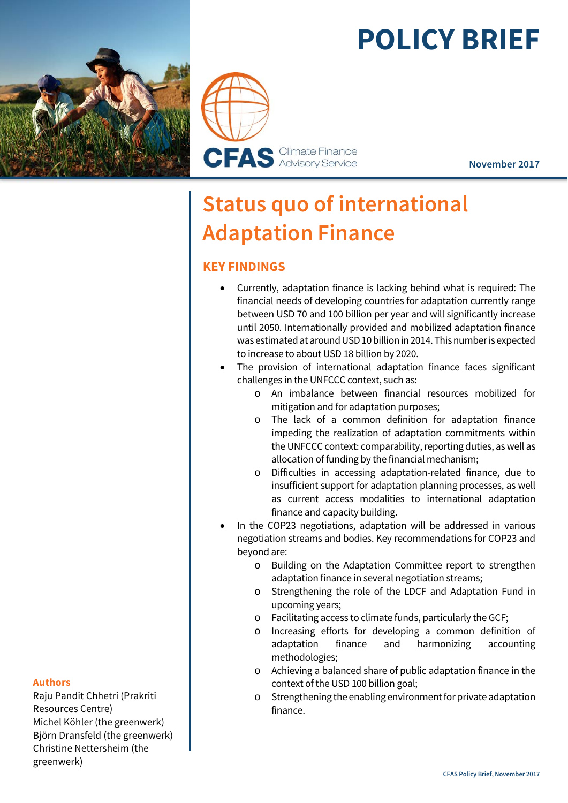# **POLICY BRIEF**





**November 2017** 

# **Status quo of international Adaptation Finance**

# **KEY FINDINGS**

- Currently, adaptation finance is lacking behind what is required: The financial needs of developing countries for adaptation currently range between USD 70 and 100 billion per year and will significantly increase until 2050. Internationally provided and mobilized adaptation finance was estimated at around USD 10 billion in 2014. This number is expected to increase to about USD 18 billion by 2020.
- The provision of international adaptation finance faces significant challenges in the UNFCCC context, such as:
	- o An imbalance between financial resources mobilized for mitigation and for adaptation purposes;
	- o The lack of a common definition for adaptation finance impeding the realization of adaptation commitments within the UNFCCC context: comparability, reporting duties, as well as allocation of funding by the financial mechanism;
	- o Difficulties in accessing adaptation-related finance, due to insufficient support for adaptation planning processes, as well as current access modalities to international adaptation finance and capacity building.
- In the COP23 negotiations, adaptation will be addressed in various negotiation streams and bodies. Key recommendations for COP23 and beyond are:
	- o Building on the Adaptation Committee report to strengthen adaptation finance in several negotiation streams;
	- o Strengthening the role of the LDCF and Adaptation Fund in upcoming years;
	- o Facilitating access to climate funds, particularly the GCF;
	- o Increasing efforts for developing a common definition of adaptation finance and harmonizing accounting methodologies;
	- o Achieving a balanced share of public adaptation finance in the context of the USD 100 billion goal;
	- o Strengthening the enabling environment for private adaptation finance.

#### **Authors**

Raju Pandit Chhetri (Prakriti Resources Centre) Michel Köhler (the greenwerk) Björn Dransfeld (the greenwerk) Christine Nettersheim (the greenwerk)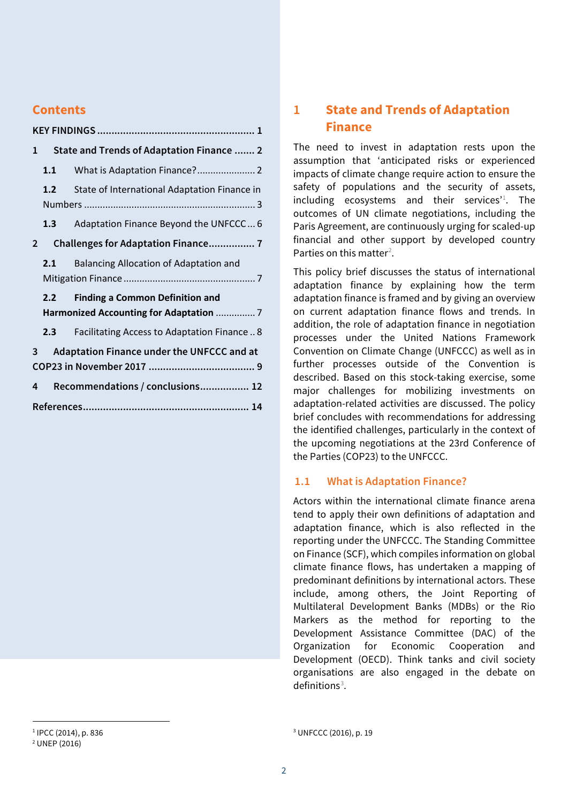# **Contents**

| 1 | State and Trends of Adaptation Finance  2  |                                              |
|---|--------------------------------------------|----------------------------------------------|
|   | 1.1                                        |                                              |
|   | 1.2                                        | State of International Adaptation Finance in |
|   |                                            |                                              |
|   | 1.3 <sub>1</sub>                           | Adaptation Finance Beyond the UNFCCC 6       |
| 2 |                                            |                                              |
|   | 2.1                                        | Balancing Allocation of Adaptation and       |
|   |                                            |                                              |
|   | 2.2                                        | <b>Finding a Common Definition and</b>       |
|   | Harmonized Accounting for Adaptation  7    |                                              |
|   | 2.3                                        | Facilitating Access to Adaptation Finance  8 |
| 3 | Adaptation Finance under the UNFCCC and at |                                              |
|   |                                            |                                              |
| 4 |                                            | Recommendations / conclusions 12             |
|   |                                            |                                              |

# **1 State and Trends of Adaptation Finance**

The need to invest in adaptation rests upon the assumption that 'anticipated risks or experienced impacts of climate change require action to ensure the safety of populations and the security of assets, including ecosystems and their services<sup> $1$ </sup>. The outcomes of UN climate negotiations, including the Paris Agreement, are continuously urging for scaled-up financial and other support by developed country Parties on this matter<sup>2</sup>.

This policy brief discusses the status of international adaptation finance by explaining how the term adaptation finance is framed and by giving an overview on current adaptation finance flows and trends. In addition, the role of adaptation finance in negotiation processes under the United Nations Framework Convention on Climate Change (UNFCCC) as well as in further processes outside of the Convention is described. Based on this stock-taking exercise, some major challenges for mobilizing investments on adaptation-related activities are discussed. The policy brief concludes with recommendations for addressing the identified challenges, particularly in the context of the upcoming negotiations at the 23rd Conference of the Parties (COP23) to the UNFCCC.

#### **1.1 What is Adaptation Finance?**

Actors within the international climate finance arena tend to apply their own definitions of adaptation and adaptation finance, which is also reflected in the reporting under the UNFCCC. The Standing Committee on Finance (SCF), which compiles information on global climate finance flows, has undertaken a mapping of predominant definitions by international actors. These include, among others, the Joint Reporting of Multilateral Development Banks (MDBs) or the Rio Markers as the method for reporting to the Development Assistance Committee (DAC) of the Organization for Economic Cooperation and Development (OECD). Think tanks and civil society organisations are also engaged in the debate on definitions $3$ .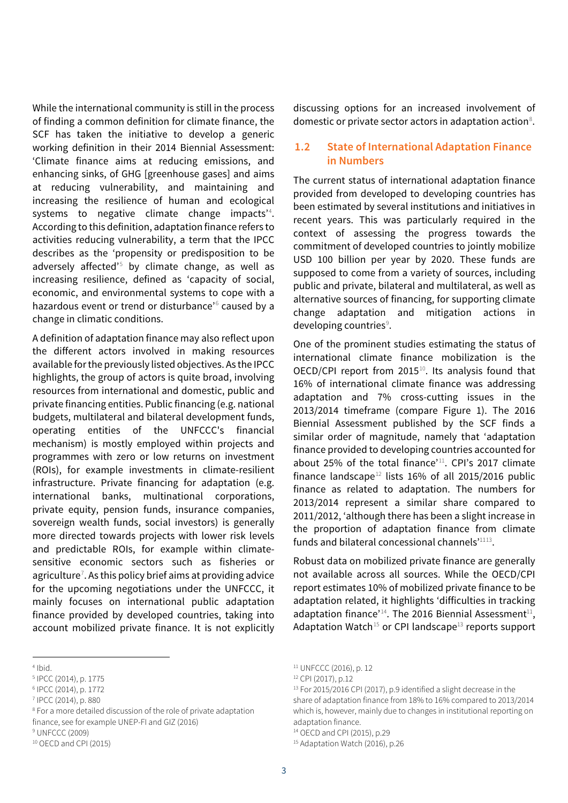While the international community is still in the process of finding a common definition for climate finance, the SCF has taken the initiative to develop a generic working definition in their 2014 Biennial Assessment: 'Climate finance aims at reducing emissions, and enhancing sinks, of GHG [greenhouse gases] and aims at reducing vulnerability, and maintaining and increasing the resilience of human and ecological systems to negative climate change impacts<sup>24</sup>. According to this definition, adaptation finance refers to activities reducing vulnerability, a term that the IPCC describes as the 'propensity or predisposition to be adversely affected'<sup>5</sup> by climate change, as well as increasing resilience, defined as 'capacity of social, economic, and environmental systems to cope with a hazardous event or trend or disturbance'<sup>6</sup> caused by a change in climatic conditions.

A definition of adaptation finance may also reflect upon the different actors involved in making resources available for the previously listed objectives. As the IPCC highlights, the group of actors is quite broad, involving resources from international and domestic, public and private financing entities. Public financing (e.g. national budgets, multilateral and bilateral development funds, operating entities of the UNFCCC's financial mechanism) is mostly employed within projects and programmes with zero or low returns on investment (ROIs), for example investments in climate-resilient infrastructure. Private financing for adaptation (e.g. international banks, multinational corporations, private equity, pension funds, insurance companies, sovereign wealth funds, social investors) is generally more directed towards projects with lower risk levels and predictable ROIs, for example within climatesensitive economic sectors such as fisheries or agriculture<sup>7</sup>. As this policy brief aims at providing advice for the upcoming negotiations under the UNFCCC, it mainly focuses on international public adaptation finance provided by developed countries, taking into account mobilized private finance. It is not explicitly

 $\overline{a}$ 4 Ibid.

- 7 IPCC (2014), p. 880
- 8 For a more detailed discussion of the role of private adaptation finance, see for example UNEP-FI and GIZ (2016)
- 9 UNFCCC (2009)

discussing options for an increased involvement of domestic or private sector actors in adaptation action<sup>8</sup>.

#### **1.2 State of International Adaptation Finance in Numbers**

The current status of international adaptation finance provided from developed to developing countries has been estimated by several institutions and initiatives in recent years. This was particularly required in the context of assessing the progress towards the commitment of developed countries to jointly mobilize USD 100 billion per year by 2020. These funds are supposed to come from a variety of sources, including public and private, bilateral and multilateral, as well as alternative sources of financing, for supporting climate change adaptation and mitigation actions in developing countries<sup>9</sup>.

One of the prominent studies estimating the status of international climate finance mobilization is the OECD/CPI report from 2015 $^{10}$ . Its analysis found that 16% of international climate finance was addressing adaptation and 7% cross-cutting issues in the 2013/2014 timeframe (compare Figure 1). The 2016 Biennial Assessment published by the SCF finds a similar order of magnitude, namely that 'adaptation finance provided to developing countries accounted for about 25% of the total finance'<sup>11</sup>. CPI's 2017 climate finance landscape<sup>12</sup> lists 16% of all 2015/2016 public finance as related to adaptation. The numbers for 2013/2014 represent a similar share compared to 2011/2012, 'although there has been a slight increase in the proportion of adaptation finance from climate funds and bilateral concessional channels $'$ <sup>1113</sup>.

Robust data on mobilized private finance are generally not available across all sources. While the OECD/CPI report estimates 10% of mobilized private finance to be adaptation related, it highlights 'difficulties in tracking adaptation finance<sup> $14$ </sup>. The 2016 Biennial Assessment<sup>11</sup>, Adaptation Watch<sup>15</sup> or CPI landscape<sup>13</sup> reports support

14 OECD and CPI (2015), p.29

<sup>5</sup> IPCC (2014), p. 1775

<sup>6</sup> IPCC (2014), p. 1772

<sup>10</sup> OECD and CPI (2015)

<sup>11</sup> UNFCCC (2016), p. 12

<sup>12</sup> CPI (2017), p.12

<sup>&</sup>lt;sup>13</sup> For 2015/2016 CPI (2017), p.9 identified a slight decrease in the share of adaptation finance from 18% to 16% compared to 2013/2014 which is, however, mainly due to changes in institutional reporting on adaptation finance.

<sup>&</sup>lt;sup>15</sup> Adaptation Watch (2016), p.26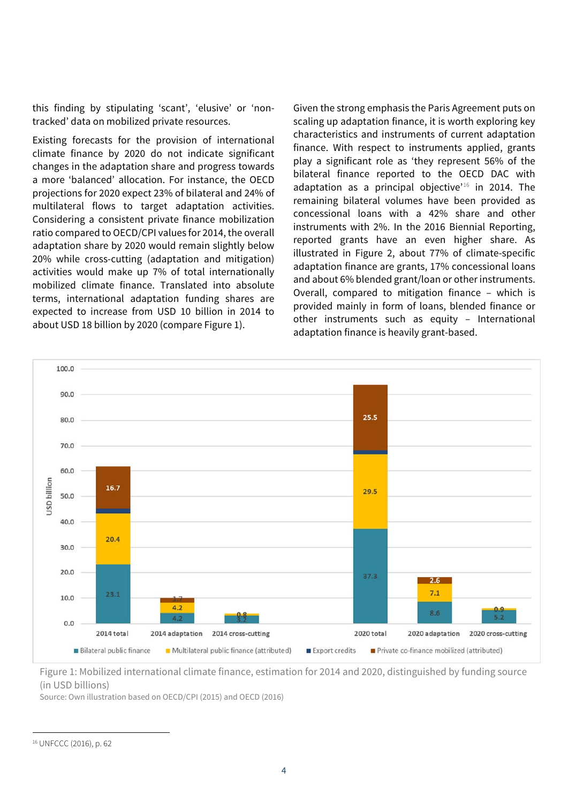this finding by stipulating 'scant', 'elusive' or 'nontracked' data on mobilized private resources.

Existing forecasts for the provision of international climate finance by 2020 do not indicate significant changes in the adaptation share and progress towards a more 'balanced' allocation. For instance, the OECD projections for 2020 expect 23% of bilateral and 24% of multilateral flows to target adaptation activities. Considering a consistent private finance mobilization ratio compared to OECD/CPI values for 2014, the overall adaptation share by 2020 would remain slightly below 20% while cross-cutting (adaptation and mitigation) activities would make up 7% of total internationally mobilized climate finance. Translated into absolute terms, international adaptation funding shares are expected to increase from USD 10 billion in 2014 to about USD 18 billion by 2020 (compare Figure 1).

Given the strong emphasis the Paris Agreement puts on scaling up adaptation finance, it is worth exploring key characteristics and instruments of current adaptation finance. With respect to instruments applied, grants play a significant role as 'they represent 56% of the bilateral finance reported to the OECD DAC with adaptation as a principal objective<sup> $16$ </sup> in 2014. The remaining bilateral volumes have been provided as concessional loans with a 42% share and other instruments with 2%. In the 2016 Biennial Reporting, reported grants have an even higher share. As illustrated in Figure 2, about 77% of climate-specific adaptation finance are grants, 17% concessional loans and about 6% blended grant/loan or other instruments. Overall, compared to mitigation finance – which is provided mainly in form of loans, blended finance or other instruments such as equity – International adaptation finance is heavily grant-based.



Figure 1: Mobilized international climate finance, estimation for 2014 and 2020, distinguished by funding source (in USD billions)

Source: Own illustration based on OECD/CPI (2015) and OECD (2016)

<sup>16</sup> UNFCCC (2016), p. 62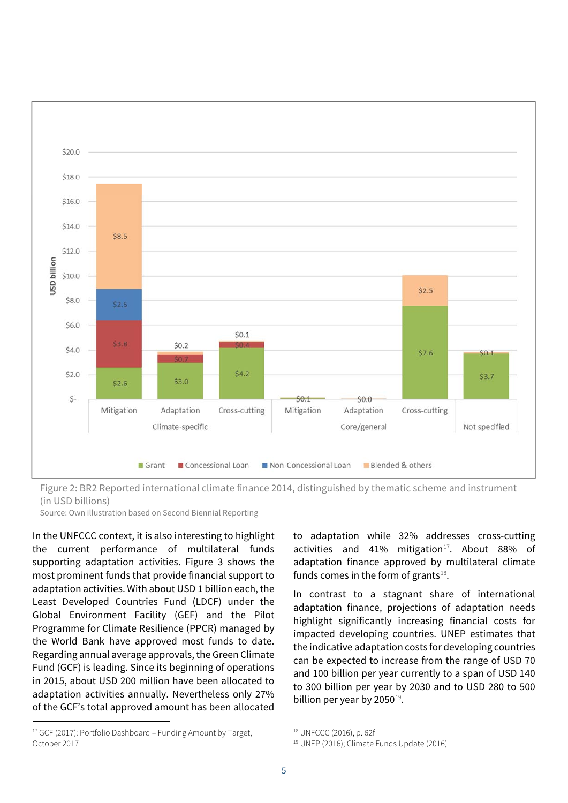

Figure 2: BR2 Reported international climate finance 2014, distinguished by thematic scheme and instrument (in USD billions)

Source: Own illustration based on Second Biennial Reporting

In the UNFCCC context, it is also interesting to highlight the current performance of multilateral funds supporting adaptation activities. Figure 3 shows the most prominent funds that provide financial support to adaptation activities. With about USD 1 billion each, the Least Developed Countries Fund (LDCF) under the Global Environment Facility (GEF) and the Pilot Programme for Climate Resilience (PPCR) managed by the World Bank have approved most funds to date. Regarding annual average approvals, the Green Climate Fund (GCF) is leading. Since its beginning of operations in 2015, about USD 200 million have been allocated to adaptation activities annually. Nevertheless only 27% of the GCF's total approved amount has been allocated

 $\overline{a}$ 

to adaptation while 32% addresses cross-cutting activities and 41% mitigation $17$ . About 88% of adaptation finance approved by multilateral climate funds comes in the form of grants $^{18}$ .

In contrast to a stagnant share of international adaptation finance, projections of adaptation needs highlight significantly increasing financial costs for impacted developing countries. UNEP estimates that the indicative adaptation costs for developing countries can be expected to increase from the range of USD 70 and 100 billion per year currently to a span of USD 140 to 300 billion per year by 2030 and to USD 280 to 500 billion per year by 2050 $^{19}$ .

<sup>&</sup>lt;sup>17</sup> GCF (2017): Portfolio Dashboard – Funding Amount by Target, October 2017

<sup>18</sup> UNFCCC (2016), p. 62f

<sup>19</sup> UNEP (2016); Climate Funds Update (2016)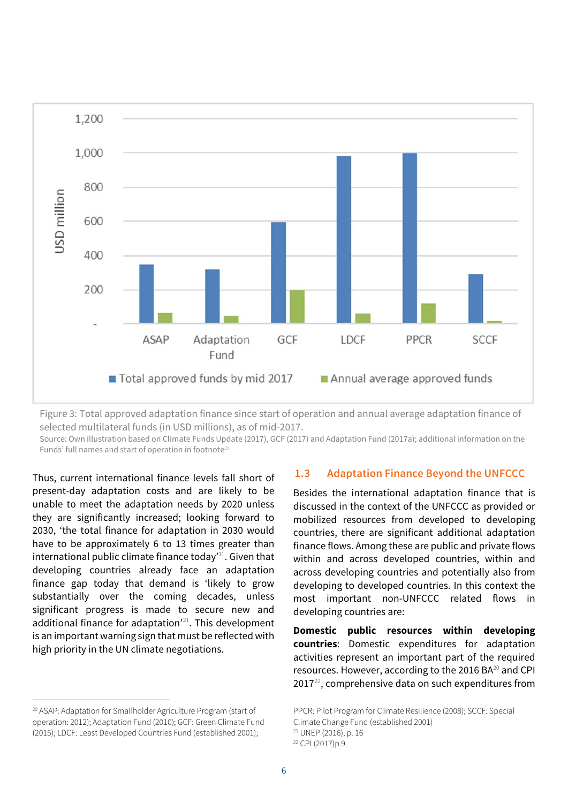

Figure 3: Total approved adaptation finance since start of operation and annual average adaptation finance of selected multilateral funds (in USD millions), as of mid-2017.

Source: Own illustration based on Climate Funds Update (2017), GCF (2017) and Adaptation Fund (2017a); additional information on the Funds' full names and start of operation in footnote<sup>20</sup>

Thus, current international finance levels fall short of present-day adaptation costs and are likely to be unable to meet the adaptation needs by 2020 unless they are significantly increased; looking forward to 2030, 'the total finance for adaptation in 2030 would have to be approximately 6 to 13 times greater than international public climate finance today<sup>'11</sup>. Given that developing countries already face an adaptation finance gap today that demand is 'likely to grow substantially over the coming decades, unless significant progress is made to secure new and additional finance for adaptation $2^{21}$ . This development is an important warning sign that must be reflected with high priority in the UN climate negotiations.

 $\overline{a}$ 

#### **1.3 Adaptation Finance Beyond the UNFCCC**

Besides the international adaptation finance that is discussed in the context of the UNFCCC as provided or mobilized resources from developed to developing countries, there are significant additional adaptation finance flows. Among these are public and private flows within and across developed countries, within and across developing countries and potentially also from developing to developed countries. In this context the most important non-UNFCCC related flows in developing countries are:

**Domestic public resources within developing countries**: Domestic expenditures for adaptation activities represent an important part of the required resources. However, according to the 2016 BA<sup>20</sup> and CPI  $2017<sup>22</sup>$ , comprehensive data on such expenditures from

<sup>20</sup> ASAP: Adaptation for Smallholder Agriculture Program (start of operation: 2012); Adaptation Fund (2010); GCF: Green Climate Fund (2015); LDCF: Least Developed Countries Fund (established 2001);

PPCR: Pilot Program for Climate Resilience (2008); SCCF: Special Climate Change Fund (established 2001)

<sup>21</sup> UNEP (2016), p. 16

<sup>22</sup> CPI (2017)p.9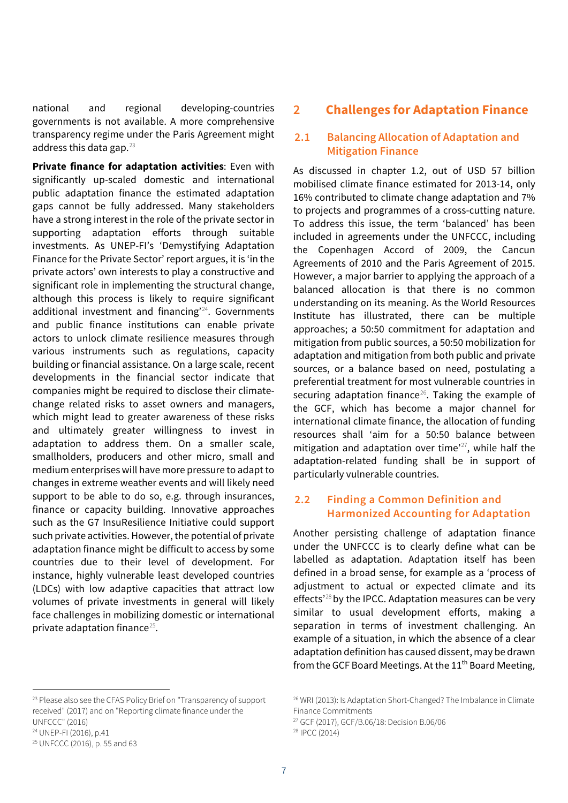national and regional developing-countries governments is not available. A more comprehensive transparency regime under the Paris Agreement might address this data gap. $^{23}$ 

**Private finance for adaptation activities**: Even with significantly up-scaled domestic and international public adaptation finance the estimated adaptation gaps cannot be fully addressed. Many stakeholders have a strong interest in the role of the private sector in supporting adaptation efforts through suitable investments. As UNEP-FI's 'Demystifying Adaptation Finance for the Private Sector' report argues, it is 'in the private actors' own interests to play a constructive and significant role in implementing the structural change, although this process is likely to require significant additional investment and financing<sup>224</sup>. Governments and public finance institutions can enable private actors to unlock climate resilience measures through various instruments such as regulations, capacity building or financial assistance. On a large scale, recent developments in the financial sector indicate that companies might be required to disclose their climatechange related risks to asset owners and managers, which might lead to greater awareness of these risks and ultimately greater willingness to invest in adaptation to address them. On a smaller scale, smallholders, producers and other micro, small and medium enterprises will have more pressure to adapt to changes in extreme weather events and will likely need support to be able to do so, e.g. through insurances, finance or capacity building. Innovative approaches such as the G7 InsuResilience Initiative could support such private activities. However, the potential of private adaptation finance might be difficult to access by some countries due to their level of development. For instance, highly vulnerable least developed countries (LDCs) with low adaptive capacities that attract low volumes of private investments in general will likely face challenges in mobilizing domestic or international private adaptation finance<sup>25</sup>.

# **2 Challenges for Adaptation Finance**

## **2.1 Balancing Allocation of Adaptation and Mitigation Finance**

As discussed in chapter 1.2, out of USD 57 billion mobilised climate finance estimated for 2013-14, only 16% contributed to climate change adaptation and 7% to projects and programmes of a cross-cutting nature. To address this issue, the term 'balanced' has been included in agreements under the UNFCCC, including the Copenhagen Accord of 2009, the Cancun Agreements of 2010 and the Paris Agreement of 2015. However, a major barrier to applying the approach of a balanced allocation is that there is no common understanding on its meaning. As the World Resources Institute has illustrated, there can be multiple approaches; a 50:50 commitment for adaptation and mitigation from public sources, a 50:50 mobilization for adaptation and mitigation from both public and private sources, or a balance based on need, postulating a preferential treatment for most vulnerable countries in securing adaptation finance $26$ . Taking the example of the GCF, which has become a major channel for international climate finance, the allocation of funding resources shall 'aim for a 50:50 balance between mitigation and adaptation over time $^{27}$ , while half the adaptation-related funding shall be in support of particularly vulnerable countries.

## **2.2 Finding a Common Definition and Harmonized Accounting for Adaptation**

Another persisting challenge of adaptation finance under the UNFCCC is to clearly define what can be labelled as adaptation. Adaptation itself has been defined in a broad sense, for example as a 'process of adjustment to actual or expected climate and its effects<sup>'28</sup> by the IPCC. Adaptation measures can be very similar to usual development efforts, making a separation in terms of investment challenging. An example of a situation, in which the absence of a clear adaptation definition has caused dissent, may be drawn from the GCF Board Meetings. At the 11<sup>th</sup> Board Meeting,

<sup>&</sup>lt;sup>23</sup> Please also see the CFAS Policy Brief on "Transparency of support received" (2017) and on "Reporting climate finance under the UNFCCC" (2016) 24 UNEP-FI (2016), p.41

<sup>25</sup> UNFCCC (2016), p. 55 and 63

<sup>26</sup> WRI (2013): Is Adaptation Short-Changed? The Imbalance in Climate Finance Commitments

<sup>27</sup> GCF (2017), GCF/B.06/18: Decision B.06/06

<sup>28</sup> IPCC (2014)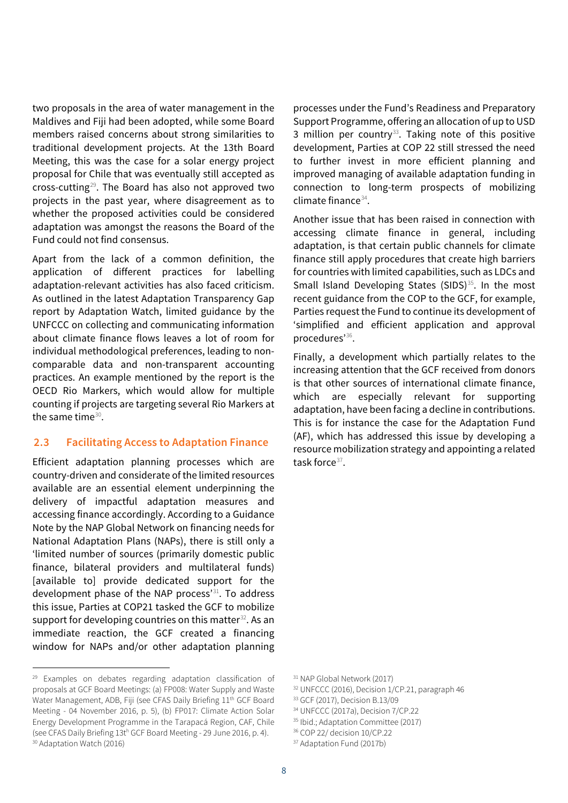two proposals in the area of water management in the Maldives and Fiji had been adopted, while some Board members raised concerns about strong similarities to traditional development projects. At the 13th Board Meeting, this was the case for a solar energy project proposal for Chile that was eventually still accepted as cross-cutting $^{29}$ . The Board has also not approved two projects in the past year, where disagreement as to whether the proposed activities could be considered adaptation was amongst the reasons the Board of the Fund could not find consensus.

Apart from the lack of a common definition, the application of different practices for labelling adaptation-relevant activities has also faced criticism. As outlined in the latest Adaptation Transparency Gap report by Adaptation Watch, limited guidance by the UNFCCC on collecting and communicating information about climate finance flows leaves a lot of room for individual methodological preferences, leading to noncomparable data and non-transparent accounting practices. An example mentioned by the report is the OECD Rio Markers, which would allow for multiple counting if projects are targeting several Rio Markers at the same time $^{30}$ .

#### **2.3 Facilitating Access to Adaptation Finance**

Efficient adaptation planning processes which are country-driven and considerate of the limited resources available are an essential element underpinning the delivery of impactful adaptation measures and accessing finance accordingly. According to a Guidance Note by the NAP Global Network on financing needs for National Adaptation Plans (NAPs), there is still only a 'limited number of sources (primarily domestic public finance, bilateral providers and multilateral funds) [available to] provide dedicated support for the development phase of the NAP process'<sup>31</sup>. To address this issue, Parties at COP21 tasked the GCF to mobilize support for developing countries on this matter<sup>32</sup>. As an immediate reaction, the GCF created a financing window for NAPs and/or other adaptation planning

<sup>29</sup> Examples on debates regarding adaptation classification of proposals at GCF Board Meetings: (a) FP008: Water Supply and Waste Water Management, ADB, Fiji (see CFAS Daily Briefing 11<sup>th</sup> GCF Board Meeting - 04 November 2016, p. 5), (b) FP017: Climate Action Solar Energy Development Programme in the Tarapacá Region, CAF, Chile (see CFAS Daily Briefing 13t<sup>h</sup> GCF Board Meeting - 29 June 2016, p. 4).<br><sup>30</sup> Adaptation Watch (2016)

 $\overline{a}$ 

processes under the Fund's Readiness and Preparatory Support Programme, offering an allocation of up to USD 3 million per country $^{33}$ . Taking note of this positive development, Parties at COP 22 still stressed the need to further invest in more efficient planning and improved managing of available adaptation funding in connection to long-term prospects of mobilizing climate finance $34$ .

Another issue that has been raised in connection with accessing climate finance in general, including adaptation, is that certain public channels for climate finance still apply procedures that create high barriers for countries with limited capabilities, such as LDCs and Small Island Developing States (SIDS)<sup>35</sup>. In the most recent guidance from the COP to the GCF, for example, Parties request the Fund to continue its development of 'simplified and efficient application and approval procedures'<sup>36</sup>.

Finally, a development which partially relates to the increasing attention that the GCF received from donors is that other sources of international climate finance, which are especially relevant for supporting adaptation, have been facing a decline in contributions. This is for instance the case for the Adaptation Fund (AF), which has addressed this issue by developing a resource mobilization strategy and appointing a related task force $37$ .

32 UNFCCC (2016), Decision 1/CP.21, paragraph 46

- 34 UNFCCC (2017a), Decision 7/CP.22
- <sup>35</sup> Ibid.; Adaptation Committee (2017)

<sup>31</sup> NAP Global Network (2017)

<sup>33</sup> GCF (2017), Decision B.13/09

<sup>36</sup> COP 22/ decision 10/CP.22

<sup>&</sup>lt;sup>37</sup> Adaptation Fund (2017b)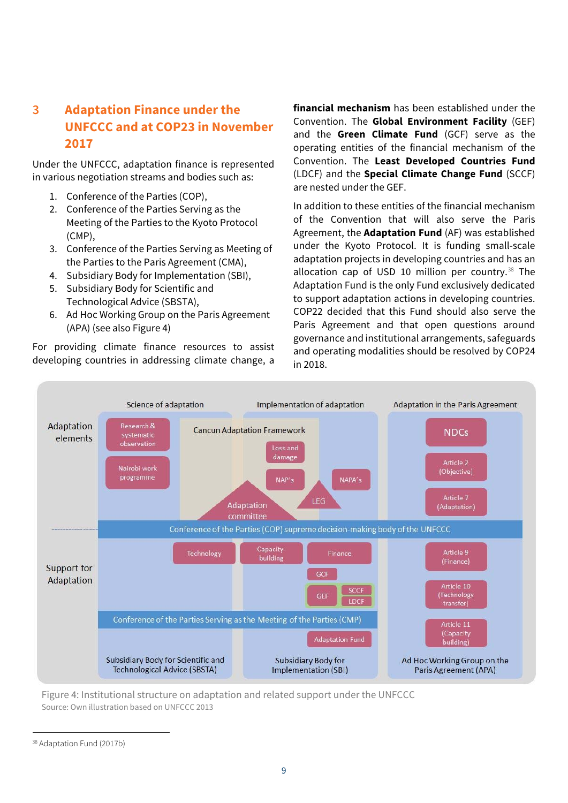# **3 Adaptation Finance under the UNFCCC and at COP23 in November 2017**

Under the UNFCCC, adaptation finance is represented in various negotiation streams and bodies such as:

- 1. Conference of the Parties (COP),
- 2. Conference of the Parties Serving as the Meeting of the Parties to the Kyoto Protocol (CMP),
- 3. Conference of the Parties Serving as Meeting of the Parties to the Paris Agreement (CMA),
- 4. Subsidiary Body for Implementation (SBI),
- 5. Subsidiary Body for Scientific and Technological Advice (SBSTA),
- 6. Ad Hoc Working Group on the Paris Agreement (APA) (see also Figure 4)

For providing climate finance resources to assist developing countries in addressing climate change, a

**financial mechanism** has been established under the Convention. The **Global Environment Facility** (GEF) and the **Green Climate Fund** (GCF) serve as the operating entities of the financial mechanism of the Convention. The **Least Developed Countries Fund** (LDCF) and the **Special Climate Change Fund** (SCCF) are nested under the GEF.

In addition to these entities of the financial mechanism of the Convention that will also serve the Paris Agreement, the **Adaptation Fund** (AF) was established under the Kyoto Protocol. It is funding small-scale adaptation projects in developing countries and has an allocation cap of USD 10 million per country. $38$  The Adaptation Fund is the only Fund exclusively dedicated to support adaptation actions in developing countries. COP22 decided that this Fund should also serve the Paris Agreement and that open questions around governance and institutional arrangements, safeguards and operating modalities should be resolved by COP24 in 2018.



Figure 4: Institutional structure on adaptation and related support under the UNFCCC Source: Own illustration based on UNFCCC 2013

<sup>38</sup> Adaptation Fund (2017b)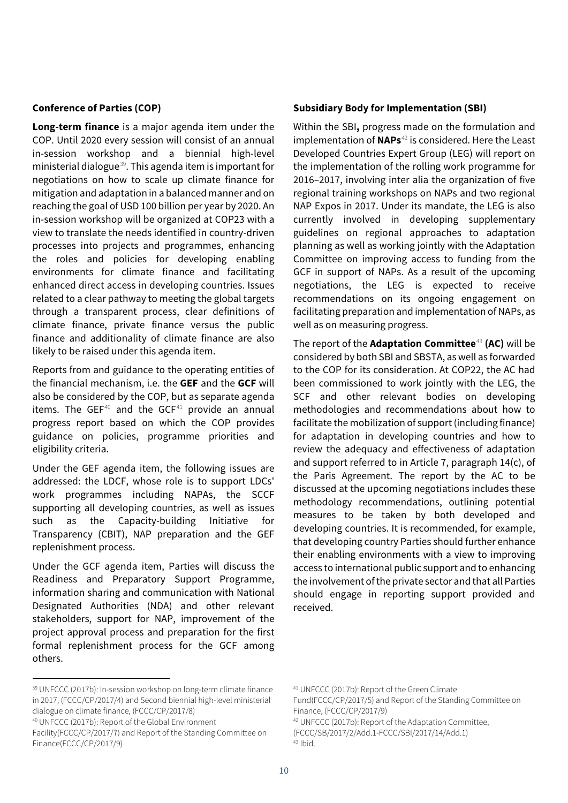#### **Conference of Parties (COP)**

**Long-term finance** is a major agenda item under the COP. Until 2020 every session will consist of an annual in-session workshop and a biennial high-level ministerial dialogue $^{39}$ . This agenda item is important for negotiations on how to scale up climate finance for mitigation and adaptation in a balanced manner and on reaching the goal of USD 100 billion per year by 2020. An in-session workshop will be organized at COP23 with a view to translate the needs identified in country-driven processes into projects and programmes, enhancing the roles and policies for developing enabling environments for climate finance and facilitating enhanced direct access in developing countries. Issues related to a clear pathway to meeting the global targets through a transparent process, clear definitions of climate finance, private finance versus the public finance and additionality of climate finance are also likely to be raised under this agenda item.

Reports from and guidance to the operating entities of the financial mechanism, i.e. the **GEF** and the **GCF** will also be considered by the COP, but as separate agenda items. The GEF<sup>40</sup> and the GCF<sup>41</sup> provide an annual progress report based on which the COP provides guidance on policies, programme priorities and eligibility criteria.

Under the GEF agenda item, the following issues are addressed: the LDCF, whose role is to support LDCs' work programmes including NAPAs, the SCCF supporting all developing countries, as well as issues such as the Capacity-building Initiative for Transparency (CBIT), NAP preparation and the GEF replenishment process.

Under the GCF agenda item, Parties will discuss the Readiness and Preparatory Support Programme, information sharing and communication with National Designated Authorities (NDA) and other relevant stakeholders, support for NAP, improvement of the project approval process and preparation for the first formal replenishment process for the GCF among others.

#### **Subsidiary Body for Implementation (SBI)**

Within the SBI**,** progress made on the formulation and implementation of **NAPs**<sup>42</sup> is considered. Here the Least Developed Countries Expert Group (LEG) will report on the implementation of the rolling work programme for 2016–2017, involving inter alia the organization of five regional training workshops on NAPs and two regional NAP Expos in 2017. Under its mandate, the LEG is also currently involved in developing supplementary guidelines on regional approaches to adaptation planning as well as working jointly with the Adaptation Committee on improving access to funding from the GCF in support of NAPs. As a result of the upcoming negotiations, the LEG is expected to receive recommendations on its ongoing engagement on facilitating preparation and implementation of NAPs, as well as on measuring progress.

The report of the **Adaptation Committee<sup>43</sup> (AC)** will be considered by both SBI and SBSTA, as well as forwarded to the COP for its consideration. At COP22, the AC had been commissioned to work jointly with the LEG, the SCF and other relevant bodies on developing methodologies and recommendations about how to facilitate the mobilization of support (including finance) for adaptation in developing countries and how to review the adequacy and effectiveness of adaptation and support referred to in Article 7, paragraph 14(c), of the Paris Agreement. The report by the AC to be discussed at the upcoming negotiations includes these methodology recommendations, outlining potential measures to be taken by both developed and developing countries. It is recommended, for example, that developing country Parties should further enhance their enabling environments with a view to improving access to international public support and to enhancing the involvement of the private sector and that all Parties should engage in reporting support provided and received.

40 UNFCCC (2017b): Report of the Global Environment

<sup>39</sup> UNFCCC (2017b): In-session workshop on long-term climate finance in 2017, (FCCC/CP/2017/4) and Second biennial high-level ministerial dialogue on climate finance, (FCCC/CP/2017/8)

Facility(FCCC/CP/2017/7) and Report of the Standing Committee on Finance(FCCC/CP/2017/9)

<sup>41</sup> UNFCCC (2017b): Report of the Green Climate

Fund(FCCC/CP/2017/5) and Report of the Standing Committee on Finance, (FCCC/CP/2017/9)

<sup>42</sup> UNFCCC (2017b): Report of the Adaptation Committee,

<sup>(</sup>FCCC/SB/2017/2/Add.1-FCCC/SBI/2017/14/Add.1) 43 Ibid.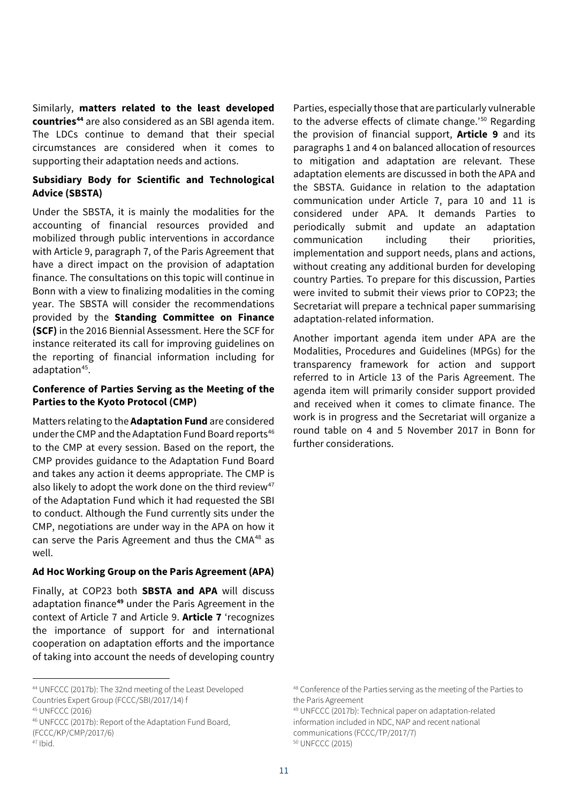Similarly, **matters related to the least developed countries<sup>44</sup>** are also considered as an SBI agenda item. The LDCs continue to demand that their special circumstances are considered when it comes to supporting their adaptation needs and actions.

#### **Subsidiary Body for Scientific and Technological Advice (SBSTA)**

Under the SBSTA, it is mainly the modalities for the accounting of financial resources provided and mobilized through public interventions in accordance with Article 9, paragraph 7, of the Paris Agreement that have a direct impact on the provision of adaptation finance. The consultations on this topic will continue in Bonn with a view to finalizing modalities in the coming year. The SBSTA will consider the recommendations provided by the **Standing Committee on Finance (SCF)** in the 2016 Biennial Assessment. Here the SCF for instance reiterated its call for improving guidelines on the reporting of financial information including for adaptation<sup>45</sup>.

#### **Conference of Parties Serving as the Meeting of the Parties to the Kyoto Protocol (CMP)**

Matters relating to the **Adaptation Fund** are considered under the CMP and the Adaptation Fund Board reports<sup>46</sup> to the CMP at every session. Based on the report, the CMP provides guidance to the Adaptation Fund Board and takes any action it deems appropriate. The CMP is also likely to adopt the work done on the third review<sup>47</sup> of the Adaptation Fund which it had requested the SBI to conduct. Although the Fund currently sits under the CMP, negotiations are under way in the APA on how it can serve the Paris Agreement and thus the CMA $48$  as well.

#### **Ad Hoc Working Group on the Paris Agreement (APA)**

Finally, at COP23 both **SBSTA and APA** will discuss adaptation finance<sup>49</sup> under the Paris Agreement in the context of Article 7 and Article 9. **Article 7** 'recognizes the importance of support for and international cooperation on adaptation efforts and the importance of taking into account the needs of developing country

```
47 Ibid.
```
 $\overline{a}$ 

Parties, especially those that are particularly vulnerable to the adverse effects of climate change.'<sup>50</sup> Regarding the provision of financial support, **Article 9** and its paragraphs 1 and 4 on balanced allocation of resources to mitigation and adaptation are relevant. These adaptation elements are discussed in both the APA and the SBSTA. Guidance in relation to the adaptation communication under Article 7, para 10 and 11 is considered under APA. It demands Parties to periodically submit and update an adaptation communication including their priorities, implementation and support needs, plans and actions, without creating any additional burden for developing country Parties. To prepare for this discussion, Parties were invited to submit their views prior to COP23; the Secretariat will prepare a technical paper summarising adaptation-related information.

Another important agenda item under APA are the Modalities, Procedures and Guidelines (MPGs) for the transparency framework for action and support referred to in Article 13 of the Paris Agreement. The agenda item will primarily consider support provided and received when it comes to climate finance. The work is in progress and the Secretariat will organize a round table on 4 and 5 November 2017 in Bonn for further considerations.

49 UNFCCC (2017b): Technical paper on adaptation-related information included in NDC, NAP and recent national communications (FCCC/TP/2017/7) 50 UNFCCC (2015)

<sup>44</sup> UNFCCC (2017b): The 32nd meeting of the Least Developed Countries Expert Group (FCCC/SBI/2017/14) f 45 UNFCCC (2016)

<sup>46</sup> UNFCCC (2017b): Report of the Adaptation Fund Board, (FCCC/KP/CMP/2017/6)

<sup>48</sup> Conference of the Parties serving as the meeting of the Parties to the Paris Agreement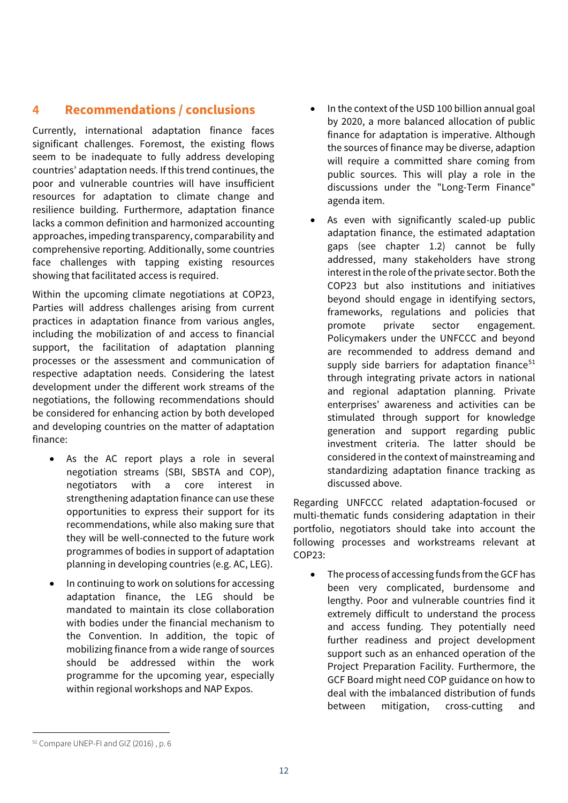# **4 Recommendations / conclusions**

Currently, international adaptation finance faces significant challenges. Foremost, the existing flows seem to be inadequate to fully address developing countries' adaptation needs. If this trend continues, the poor and vulnerable countries will have insufficient resources for adaptation to climate change and resilience building. Furthermore, adaptation finance lacks a common definition and harmonized accounting approaches, impeding transparency, comparability and comprehensive reporting. Additionally, some countries face challenges with tapping existing resources showing that facilitated access is required.

Within the upcoming climate negotiations at COP23, Parties will address challenges arising from current practices in adaptation finance from various angles, including the mobilization of and access to financial support, the facilitation of adaptation planning processes or the assessment and communication of respective adaptation needs. Considering the latest development under the different work streams of the negotiations, the following recommendations should be considered for enhancing action by both developed and developing countries on the matter of adaptation finance:

- As the AC report plays a role in several negotiation streams (SBI, SBSTA and COP), negotiators with a core interest in strengthening adaptation finance can use these opportunities to express their support for its recommendations, while also making sure that they will be well-connected to the future work programmes of bodies in support of adaptation planning in developing countries (e.g. AC, LEG).
- In continuing to work on solutions for accessing adaptation finance, the LEG should be mandated to maintain its close collaboration with bodies under the financial mechanism to the Convention. In addition, the topic of mobilizing finance from a wide range of sources should be addressed within the work programme for the upcoming year, especially within regional workshops and NAP Expos.
- In the context of the USD 100 billion annual goal by 2020, a more balanced allocation of public finance for adaptation is imperative. Although the sources of finance may be diverse, adaption will require a committed share coming from public sources. This will play a role in the discussions under the "Long-Term Finance" agenda item.
- As even with significantly scaled-up public adaptation finance, the estimated adaptation gaps (see chapter 1.2) cannot be fully addressed, many stakeholders have strong interest in the role of the private sector. Both the COP23 but also institutions and initiatives beyond should engage in identifying sectors, frameworks, regulations and policies that promote private sector engagement. Policymakers under the UNFCCC and beyond are recommended to address demand and supply side barriers for adaptation finance $51$ through integrating private actors in national and regional adaptation planning. Private enterprises' awareness and activities can be stimulated through support for knowledge generation and support regarding public investment criteria. The latter should be considered in the context of mainstreaming and standardizing adaptation finance tracking as discussed above.

Regarding UNFCCC related adaptation-focused or multi-thematic funds considering adaptation in their portfolio, negotiators should take into account the following processes and workstreams relevant at  $COP23:$ 

• The process of accessing funds from the GCF has been very complicated, burdensome and lengthy. Poor and vulnerable countries find it extremely difficult to understand the process and access funding. They potentially need further readiness and project development support such as an enhanced operation of the Project Preparation Facility. Furthermore, the GCF Board might need COP guidance on how to deal with the imbalanced distribution of funds between mitigation, cross-cutting and

<sup>51</sup> Compare UNEP-FI and GIZ (2016) , p. 6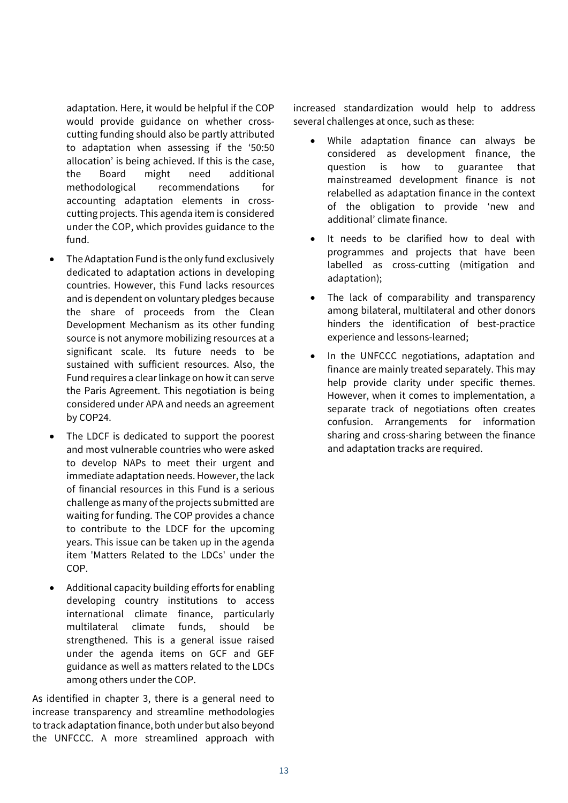adaptation. Here, it would be helpful if the COP would provide guidance on whether crosscutting funding should also be partly attributed to adaptation when assessing if the '50:50 allocation' is being achieved. If this is the case, the Board might need additional methodological recommendations for accounting adaptation elements in crosscutting projects. This agenda item is considered under the COP, which provides guidance to the fund.

- The Adaptation Fund is the only fund exclusively dedicated to adaptation actions in developing countries. However, this Fund lacks resources and is dependent on voluntary pledges because the share of proceeds from the Clean Development Mechanism as its other funding source is not anymore mobilizing resources at a significant scale. Its future needs to be sustained with sufficient resources. Also, the Fund requires a clear linkage on how it can serve the Paris Agreement. This negotiation is being considered under APA and needs an agreement by COP24.
- The LDCF is dedicated to support the poorest and most vulnerable countries who were asked to develop NAPs to meet their urgent and immediate adaptation needs. However, the lack of financial resources in this Fund is a serious challenge as many of the projects submitted are waiting for funding. The COP provides a chance to contribute to the LDCF for the upcoming years. This issue can be taken up in the agenda item 'Matters Related to the LDCs' under the COP.
- Additional capacity building efforts for enabling developing country institutions to access international climate finance, particularly multilateral climate funds, should be strengthened. This is a general issue raised under the agenda items on GCF and GEF guidance as well as matters related to the LDCs among others under the COP.

As identified in chapter 3, there is a general need to increase transparency and streamline methodologies to track adaptation finance, both under but also beyond the UNFCCC. A more streamlined approach with

increased standardization would help to address several challenges at once, such as these:

- While adaptation finance can always be considered as development finance, the question is how to guarantee that mainstreamed development finance is not relabelled as adaptation finance in the context of the obligation to provide 'new and additional' climate finance.
- It needs to be clarified how to deal with programmes and projects that have been labelled as cross-cutting (mitigation and adaptation);
- The lack of comparability and transparency among bilateral, multilateral and other donors hinders the identification of best-practice experience and lessons-learned;
- In the UNFCCC negotiations, adaptation and finance are mainly treated separately. This may help provide clarity under specific themes. However, when it comes to implementation, a separate track of negotiations often creates confusion. Arrangements for information sharing and cross-sharing between the finance and adaptation tracks are required.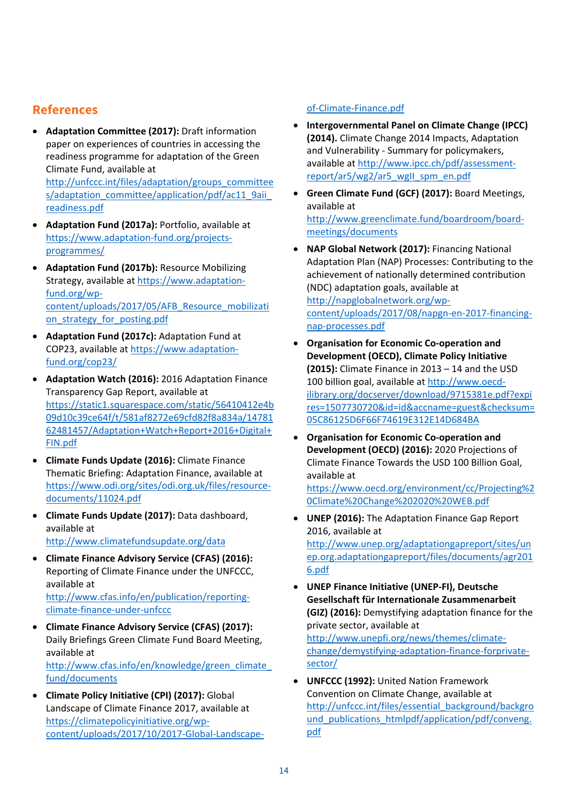# **References**

 **Adaptation Committee (2017):** Draft information paper on experiences of countries in accessing the readiness programme for adaptation of the Green Climate Fund, available at

http://unfccc.int/files/adaptation/groups\_committee s/adaptation\_committee/application/pdf/ac11\_9aii\_ readiness.pdf

- **Adaptation Fund (2017a):** Portfolio, available at https://www.adaptation‐fund.org/projects‐ programmes/
- **Adaptation Fund (2017b):** Resource Mobilizing Strategy, available at https://www.adaptation‐ fund.org/wp‐ content/uploads/2017/05/AFB\_Resource\_mobilizati on strategy for posting.pdf
- **Adaptation Fund (2017c):** Adaptation Fund at COP23, available at https://www.adaptation‐ fund.org/cop23/
- **Adaptation Watch (2016):** 2016 Adaptation Finance Transparency Gap Report, available at https://static1.squarespace.com/static/56410412e4b 09d10c39ce64f/t/581af8272e69cfd82f8a834a/14781 62481457/Adaptation+Watch+Report+2016+Digital+ FIN.pdf
- **Climate Funds Update (2016):** Climate Finance Thematic Briefing: Adaptation Finance, available at https://www.odi.org/sites/odi.org.uk/files/resource‐ documents/11024.pdf
- **Climate Funds Update (2017):** Data dashboard, available at

http://www.climatefundsupdate.org/data

 **Climate Finance Advisory Service (CFAS) (2016):** Reporting of Climate Finance under the UNFCCC, available at

http://www.cfas.info/en/publication/reporting‐ climate‐finance‐under‐unfccc

 **Climate Finance Advisory Service (CFAS) (2017):** Daily Briefings Green Climate Fund Board Meeting, available at http://www.cfas.info/en/knowledge/green\_climate\_

fund/documents

 **Climate Policy Initiative (CPI) (2017):** Global Landscape of Climate Finance 2017, available at https://climatepolicyinitiative.org/wp‐ content/uploads/2017/10/2017‐Global‐Landscape‐

#### of‐Climate‐Finance.pdf

- **Intergovernmental Panel on Climate Change (IPCC) (2014).** Climate Change 2014 Impacts, Adaptation and Vulnerability ‐ Summary for policymakers, available at http://www.ipcc.ch/pdf/assessment‐ report/ar5/wg2/ar5\_wgII\_spm\_en.pdf
- **Green Climate Fund (GCF) (2017):** Board Meetings, available at http://www.greenclimate.fund/boardroom/board‐ meetings/documents
- **NAP Global Network (2017):** Financing National Adaptation Plan (NAP) Processes: Contributing to the achievement of nationally determined contribution (NDC) adaptation goals, available at http://napglobalnetwork.org/wp‐ content/uploads/2017/08/napgn‐en‐2017‐financing‐ nap‐processes.pdf
- **Organisation for Economic Co‐operation and Development (OECD), Climate Policy Initiative (2015):** Climate Finance in 2013 – 14 and the USD 100 billion goal, available at http://www.oecd‐ ilibrary.org/docserver/download/9715381e.pdf?expi res=1507730720&id=id&accname=guest&checksum= 05C86125D6F66F74619E312E14D684BA
- **Organisation for Economic Co‐operation and Development (OECD) (2016):** 2020 Projections of Climate Finance Towards the USD 100 Billion Goal, available at

https://www.oecd.org/environment/cc/Projecting%2 0Climate%20Change%202020%20WEB.pdf

- **UNEP (2016):** The Adaptation Finance Gap Report 2016, available at http://www.unep.org/adaptationgapreport/sites/un ep.org.adaptationgapreport/files/documents/agr201 6.pdf
- **UNEP Finance Initiative (UNEP‐FI), Deutsche Gesellschaft für Internationale Zusammenarbeit (GIZ) (2016):** Demystifying adaptation finance for the private sector, available at http://www.unepfi.org/news/themes/climate‐ change/demystifying-adaptation-finance-forprivatesector/
- **UNFCCC (1992):** United Nation Framework Convention on Climate Change, available at http://unfccc.int/files/essential\_background/backgro und\_publications\_htmlpdf/application/pdf/conveng. pdf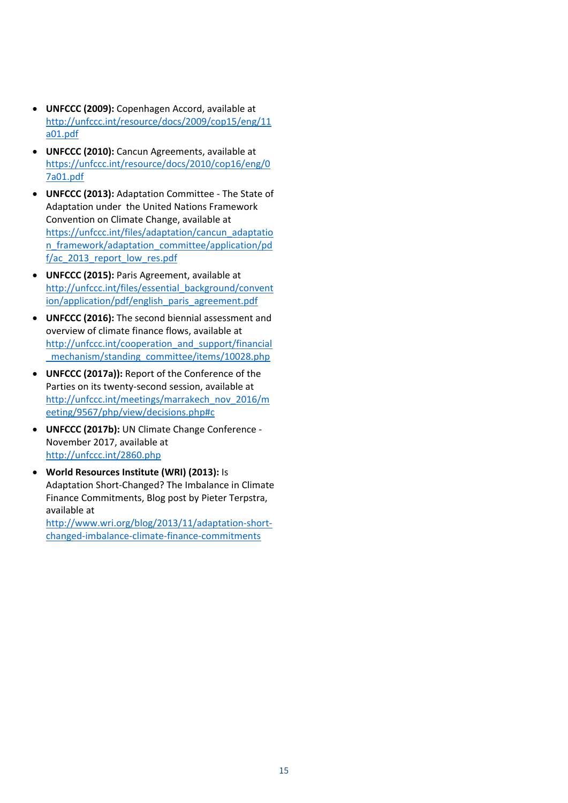- **UNFCCC (2009):** Copenhagen Accord, available at http://unfccc.int/resource/docs/2009/cop15/eng/11 a01.pdf
- **UNFCCC (2010):** Cancun Agreements, available at https://unfccc.int/resource/docs/2010/cop16/eng/0 7a01.pdf
- **UNFCCC (2013):** Adaptation Committee ‐ The State of Adaptation under the United Nations Framework Convention on Climate Change, available at https://unfccc.int/files/adaptation/cancun\_adaptatio n framework/adaptation committee/application/pd f/ac\_2013\_report\_low\_res.pdf
- **UNFCCC (2015):** Paris Agreement, available at http://unfccc.int/files/essential\_background/convent ion/application/pdf/english\_paris\_agreement.pdf
- **UNFCCC (2016):** The second biennial assessment and overview of climate finance flows, available at http://unfccc.int/cooperation\_and\_support/financial \_mechanism/standing\_committee/items/10028.php
- **UNFCCC (2017a)):** Report of the Conference of the Parties on its twenty‐second session, available at http://unfccc.int/meetings/marrakech\_nov\_2016/m eeting/9567/php/view/decisions.php#c
- **UNFCCC (2017b):** UN Climate Change Conference ‐ November 2017, available at http://unfccc.int/2860.php
- **World Resources Institute (WRI) (2013):** Is Adaptation Short‐Changed? The Imbalance in Climate Finance Commitments, Blog post by Pieter Terpstra, available at

http://www.wri.org/blog/2013/11/adaptation‐short‐ changed‐imbalance‐climate‐finance‐commitments